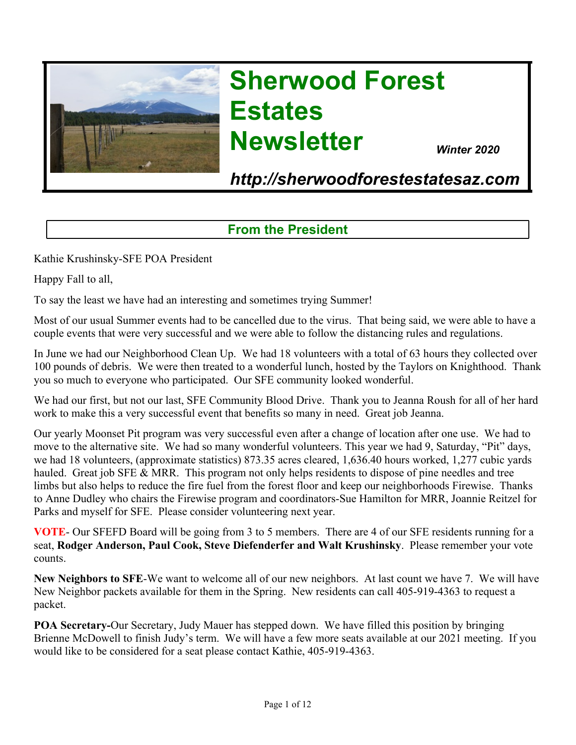

# **Sherwood Forest Estates Newsletter** *Winter 2020*

*http://sherwoodforestestatesaz.com*

# **From the President**

Kathie Krushinsky-SFE POA President

Happy Fall to all,

To say the least we have had an interesting and sometimes trying Summer!

Most of our usual Summer events had to be cancelled due to the virus. That being said, we were able to have a couple events that were very successful and we were able to follow the distancing rules and regulations.

In June we had our Neighborhood Clean Up. We had 18 volunteers with a total of 63 hours they collected over 100 pounds of debris. We were then treated to a wonderful lunch, hosted by the Taylors on Knighthood. Thank you so much to everyone who participated. Our SFE community looked wonderful.

We had our first, but not our last, SFE Community Blood Drive. Thank you to Jeanna Roush for all of her hard work to make this a very successful event that benefits so many in need. Great job Jeanna.

Our yearly Moonset Pit program was very successful even after a change of location after one use. We had to move to the alternative site. We had so many wonderful volunteers. This year we had 9, Saturday, "Pit" days, we had 18 volunteers, (approximate statistics) 873.35 acres cleared, 1,636.40 hours worked, 1,277 cubic yards hauled. Great job SFE & MRR. This program not only helps residents to dispose of pine needles and tree limbs but also helps to reduce the fire fuel from the forest floor and keep our neighborhoods Firewise. Thanks to Anne Dudley who chairs the Firewise program and coordinators-Sue Hamilton for MRR, Joannie Reitzel for Parks and myself for SFE. Please consider volunteering next year.

**VOTE**- Our SFEFD Board will be going from 3 to 5 members. There are 4 of our SFE residents running for a seat, **Rodger Anderson, Paul Cook, Steve Diefenderfer and Walt Krushinsky**. Please remember your vote counts.

**New Neighbors to SFE**-We want to welcome all of our new neighbors. At last count we have 7. We will have New Neighbor packets available for them in the Spring. New residents can call 405-919-4363 to request a packet.

**POA Secretary-**Our Secretary, Judy Mauer has stepped down. We have filled this position by bringing Brienne McDowell to finish Judy's term. We will have a few more seats available at our 2021 meeting. If you would like to be considered for a seat please contact Kathie, 405-919-4363.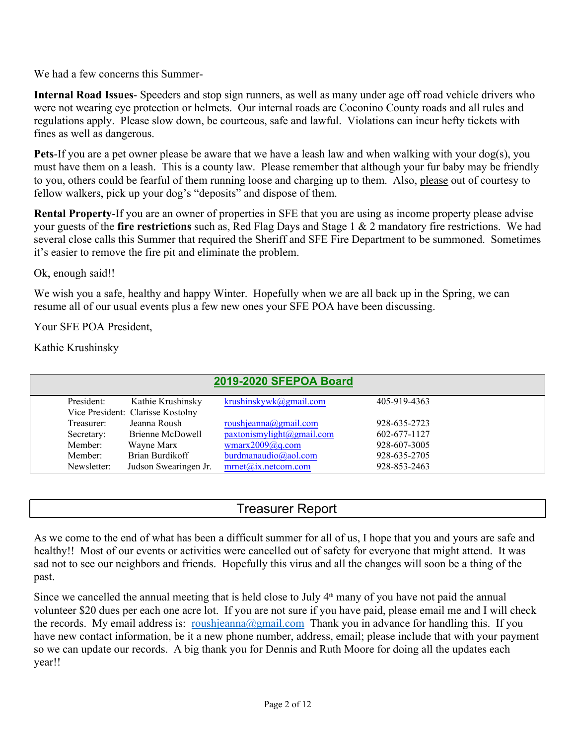We had a few concerns this Summer-

**Internal Road Issues**- Speeders and stop sign runners, as well as many under age off road vehicle drivers who were not wearing eye protection or helmets. Our internal roads are Coconino County roads and all rules and regulations apply. Please slow down, be courteous, safe and lawful. Violations can incur hefty tickets with fines as well as dangerous.

**Pets**-If you are a pet owner please be aware that we have a leash law and when walking with your dog(s), you must have them on a leash. This is a county law. Please remember that although your fur baby may be friendly to you, others could be fearful of them running loose and charging up to them. Also, please out of courtesy to fellow walkers, pick up your dog's "deposits" and dispose of them.

**Rental Property**-If you are an owner of properties in SFE that you are using as income property please advise your guests of the **fire restrictions** such as, Red Flag Days and Stage 1 & 2 mandatory fire restrictions. We had several close calls this Summer that required the Sheriff and SFE Fire Department to be summoned. Sometimes it's easier to remove the fire pit and eliminate the problem.

Ok, enough said!!

We wish you a safe, healthy and happy Winter. Hopefully when we are all back up in the Spring, we can resume all of our usual events plus a few new ones your SFE POA have been discussing.

Your SFE POA President,

Kathie Krushinsky

|             |                                   | 2019-2020 SFEPOA Board       |              |  |
|-------------|-----------------------------------|------------------------------|--------------|--|
| President:  | Kathie Krushinsky                 | krushinskywk@gmail.com       | 405-919-4363 |  |
|             | Vice President: Clarisse Kostolny |                              |              |  |
| Treasurer:  | Jeanna Roush                      | roushjeanna@gmail.com        | 928-635-2723 |  |
| Secretary:  | Brienne McDowell                  | paxtonismylight@gmail.com    | 602-677-1127 |  |
| Member:     | Wayne Marx                        | wmarx2009@q.com              | 928-607-3005 |  |
| Member:     | Brian Burdikoff                   | burdmanaudio@aol.com         | 928-635-2705 |  |
| Newsletter: | Judson Swearingen Jr.             | $m$ rnet $(a)$ ix.netcom.com | 928-853-2463 |  |

## Treasurer Report

As we come to the end of what has been a difficult summer for all of us, I hope that you and yours are safe and healthy!! Most of our events or activities were cancelled out of safety for everyone that might attend. It was sad not to see our neighbors and friends. Hopefully this virus and all the changes will soon be a thing of the past.

Since we cancelled the annual meeting that is held close to July  $4<sup>th</sup>$  many of you have not paid the annual volunteer \$20 dues per each one acre lot. If you are not sure if you have paid, please email me and I will check the records. My email address is: roushjeanna@gmail.com Thank you in advance for handling this. If you have new contact information, be it a new phone number, address, email; please include that with your payment so we can update our records. A big thank you for Dennis and Ruth Moore for doing all the updates each year!!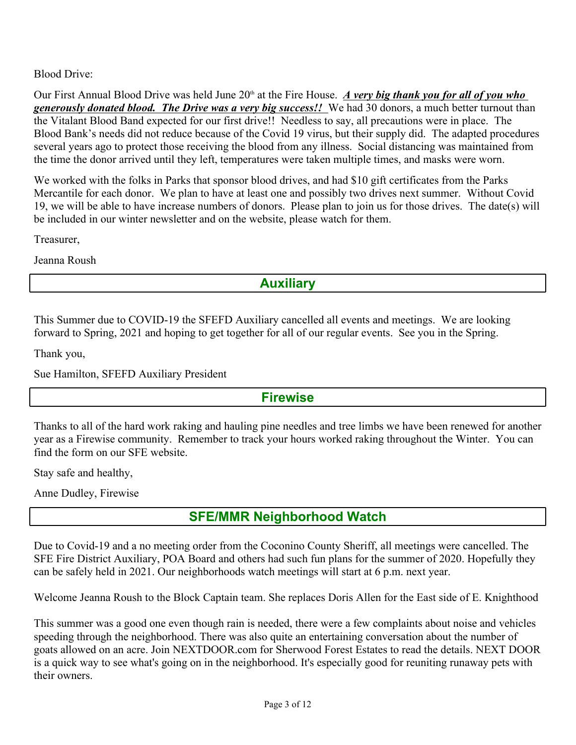Blood Drive:

Our First Annual Blood Drive was held June 20<sup>th</sup> at the Fire House. *A very big thank you for all of you who generously donated blood. The Drive was a very big success!!* We had 30 donors, a much better turnout than the Vitalant Blood Band expected for our first drive!! Needless to say, all precautions were in place. The Blood Bank's needs did not reduce because of the Covid 19 virus, but their supply did. The adapted procedures several years ago to protect those receiving the blood from any illness. Social distancing was maintained from the time the donor arrived until they left, temperatures were taken multiple times, and masks were worn.

We worked with the folks in Parks that sponsor blood drives, and had \$10 gift certificates from the Parks Mercantile for each donor. We plan to have at least one and possibly two drives next summer. Without Covid 19, we will be able to have increase numbers of donors. Please plan to join us for those drives. The date(s) will be included in our winter newsletter and on the website, please watch for them.

Treasurer,

Jeanna Roush

**Auxiliary**

This Summer due to COVID-19 the SFEFD Auxiliary cancelled all events and meetings. We are looking forward to Spring, 2021 and hoping to get together for all of our regular events. See you in the Spring.

Thank you,

Sue Hamilton, SFEFD Auxiliary President

### **Firewise**

Thanks to all of the hard work raking and hauling pine needles and tree limbs we have been renewed for another year as a Firewise community. Remember to track your hours worked raking throughout the Winter. You can find the form on our SFE website.

Stay safe and healthy,

Anne Dudley, Firewise

## **SFE/MMR Neighborhood Watch**

Due to Covid-19 and a no meeting order from the Coconino County Sheriff, all meetings were cancelled. The SFE Fire District Auxiliary, POA Board and others had such fun plans for the summer of 2020. Hopefully they can be safely held in 2021. Our neighborhoods watch meetings will start at 6 p.m. next year.

Welcome Jeanna Roush to the Block Captain team. She replaces Doris Allen for the East side of E. Knighthood

This summer was a good one even though rain is needed, there were a few complaints about noise and vehicles speeding through the neighborhood. There was also quite an entertaining conversation about the number of goats allowed on an acre. Join NEXTDOOR.com for Sherwood Forest Estates to read the details. NEXT DOOR is a quick way to see what's going on in the neighborhood. It's especially good for reuniting runaway pets with their owners.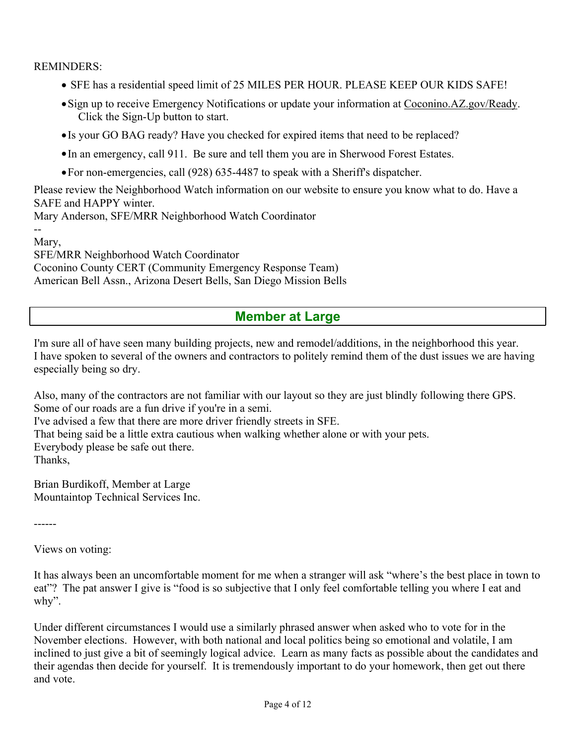REMINDERS:

- SFE has a residential speed limit of 25 MILES PER HOUR. PLEASE KEEP OUR KIDS SAFE!
- Sign up to receive Emergency Notifications or update your information at Coconino.AZ.gov/Ready. Click the Sign-Up button to start.
- Is your GO BAG ready? Have you checked for expired items that need to be replaced?
- In an emergency, call 911. Be sure and tell them you are in Sherwood Forest Estates.
- For non-emergencies, call (928) 635-4487 to speak with a Sheriff's dispatcher.

Please review the Neighborhood Watch information on our website to ensure you know what to do. Have a SAFE and HAPPY winter.

Mary Anderson, SFE/MRR Neighborhood Watch Coordinator

Mary,

SFE/MRR Neighborhood Watch Coordinator Coconino County CERT (Community Emergency Response Team) American Bell Assn., Arizona Desert Bells, San Diego Mission Bells

# **Member at Large**

I'm sure all of have seen many building projects, new and remodel/additions, in the neighborhood this year. I have spoken to several of the owners and contractors to politely remind them of the dust issues we are having especially being so dry.

Also, many of the contractors are not familiar with our layout so they are just blindly following there GPS. Some of our roads are a fun drive if you're in a semi.

I've advised a few that there are more driver friendly streets in SFE.

That being said be a little extra cautious when walking whether alone or with your pets.

Everybody please be safe out there.

Thanks,

Brian Burdikoff, Member at Large Mountaintop Technical Services Inc.

Views on voting:

It has always been an uncomfortable moment for me when a stranger will ask "where's the best place in town to eat"? The pat answer I give is "food is so subjective that I only feel comfortable telling you where I eat and why".

Under different circumstances I would use a similarly phrased answer when asked who to vote for in the November elections. However, with both national and local politics being so emotional and volatile, I am inclined to just give a bit of seemingly logical advice. Learn as many facts as possible about the candidates and their agendas then decide for yourself. It is tremendously important to do your homework, then get out there and vote.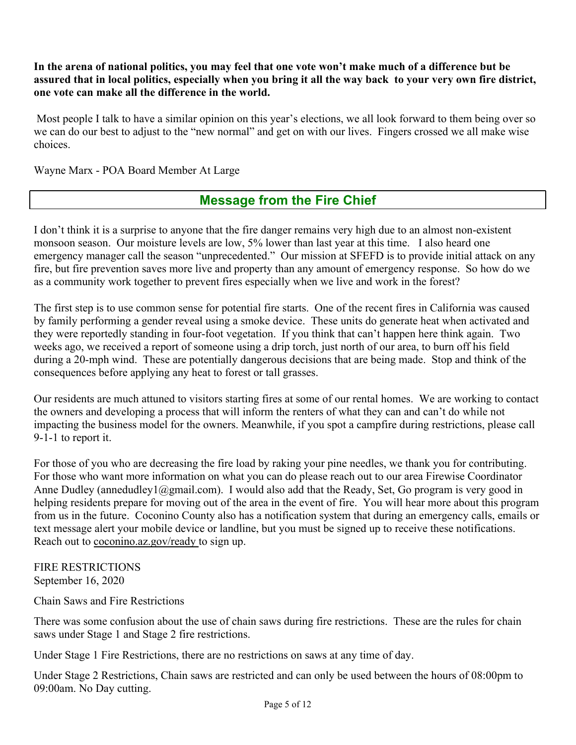#### **In the arena of national politics, you may feel that one vote won't make much of a difference but be assured that in local politics, especially when you bring it all the way back to your very own fire district, one vote can make all the difference in the world.**

 Most people I talk to have a similar opinion on this year's elections, we all look forward to them being over so we can do our best to adjust to the "new normal" and get on with our lives. Fingers crossed we all make wise choices.

Wayne Marx - POA Board Member At Large

## **Message from the Fire Chief**

I don't think it is a surprise to anyone that the fire danger remains very high due to an almost non-existent monsoon season. Our moisture levels are low, 5% lower than last year at this time. I also heard one emergency manager call the season "unprecedented." Our mission at SFEFD is to provide initial attack on any fire, but fire prevention saves more live and property than any amount of emergency response. So how do we as a community work together to prevent fires especially when we live and work in the forest?

The first step is to use common sense for potential fire starts. One of the recent fires in California was caused by family performing a gender reveal using a smoke device. These units do generate heat when activated and they were reportedly standing in four-foot vegetation. If you think that can't happen here think again. Two weeks ago, we received a report of someone using a drip torch, just north of our area, to burn off his field during a 20-mph wind. These are potentially dangerous decisions that are being made. Stop and think of the consequences before applying any heat to forest or tall grasses.

Our residents are much attuned to visitors starting fires at some of our rental homes. We are working to contact the owners and developing a process that will inform the renters of what they can and can't do while not impacting the business model for the owners. Meanwhile, if you spot a campfire during restrictions, please call 9-1-1 to report it.

For those of you who are decreasing the fire load by raking your pine needles, we thank you for contributing. For those who want more information on what you can do please reach out to our area Firewise Coordinator Anne Dudley (annedudley1@gmail.com). I would also add that the Ready, Set, Go program is very good in helping residents prepare for moving out of the area in the event of fire. You will hear more about this program from us in the future. Coconino County also has a notification system that during an emergency calls, emails or text message alert your mobile device or landline, but you must be signed up to receive these notifications. Reach out to coconino.az.gov/ready to sign up.

#### FIRE RESTRICTIONS September 16, 2020

Chain Saws and Fire Restrictions

There was some confusion about the use of chain saws during fire restrictions. These are the rules for chain saws under Stage 1 and Stage 2 fire restrictions.

Under Stage 1 Fire Restrictions, there are no restrictions on saws at any time of day.

Under Stage 2 Restrictions, Chain saws are restricted and can only be used between the hours of 08:00pm to 09:00am. No Day cutting.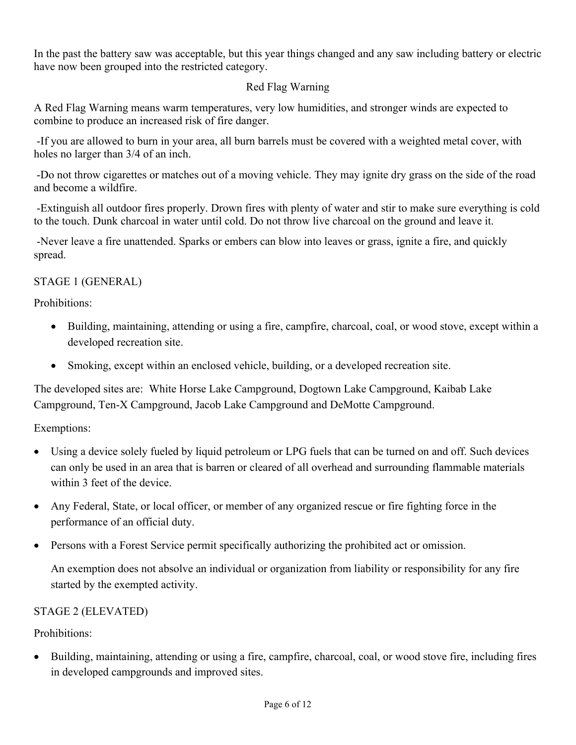In the past the battery saw was acceptable, but this year things changed and any saw including battery or electric have now been grouped into the restricted category.

#### Red Flag Warning

A Red Flag Warning means warm temperatures, very low humidities, and stronger winds are expected to combine to produce an increased risk of fire danger.

 -If you are allowed to burn in your area, all burn barrels must be covered with a weighted metal cover, with holes no larger than 3/4 of an inch.

 -Do not throw cigarettes or matches out of a moving vehicle. They may ignite dry grass on the side of the road and become a wildfire.

 -Extinguish all outdoor fires properly. Drown fires with plenty of water and stir to make sure everything is cold to the touch. Dunk charcoal in water until cold. Do not throw live charcoal on the ground and leave it.

 -Never leave a fire unattended. Sparks or embers can blow into leaves or grass, ignite a fire, and quickly spread.

#### STAGE 1 (GENERAL)

Prohibitions:

- Building, maintaining, attending or using a fire, campfire, charcoal, coal, or wood stove, except within a developed recreation site.
- Smoking, except within an enclosed vehicle, building, or a developed recreation site.

The developed sites are: White Horse Lake Campground, Dogtown Lake Campground, Kaibab Lake Campground, Ten-X Campground, Jacob Lake Campground and DeMotte Campground.

Exemptions:

- Using a device solely fueled by liquid petroleum or LPG fuels that can be turned on and off. Such devices can only be used in an area that is barren or cleared of all overhead and surrounding flammable materials within 3 feet of the device
- Any Federal, State, or local officer, or member of any organized rescue or fire fighting force in the performance of an official duty.
- Persons with a Forest Service permit specifically authorizing the prohibited act or omission.

An exemption does not absolve an individual or organization from liability or responsibility for any fire started by the exempted activity.

#### STAGE 2 (ELEVATED)

Prohibitions:

 Building, maintaining, attending or using a fire, campfire, charcoal, coal, or wood stove fire, including fires in developed campgrounds and improved sites.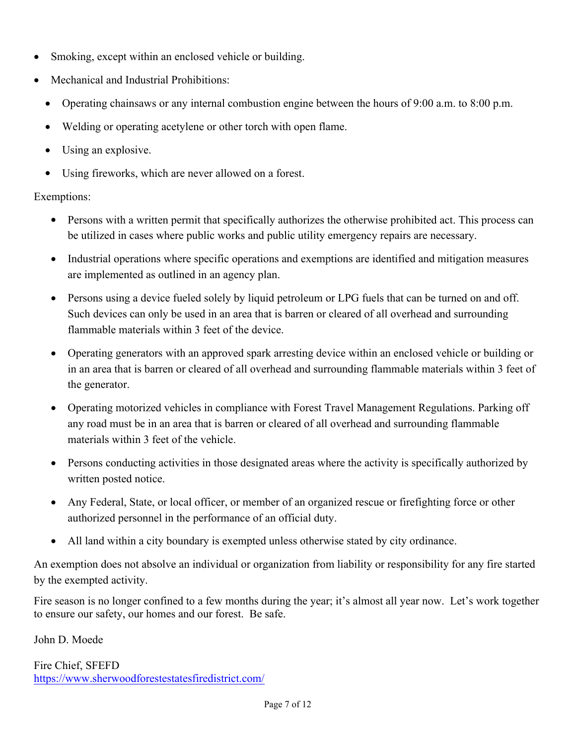- Smoking, except within an enclosed vehicle or building.
- Mechanical and Industrial Prohibitions:
	- Operating chainsaws or any internal combustion engine between the hours of 9:00 a.m. to 8:00 p.m.
	- Welding or operating acetylene or other torch with open flame.
	- Using an explosive.
	- Using fireworks, which are never allowed on a forest.

Exemptions:

- Persons with a written permit that specifically authorizes the otherwise prohibited act. This process can be utilized in cases where public works and public utility emergency repairs are necessary.
- Industrial operations where specific operations and exemptions are identified and mitigation measures are implemented as outlined in an agency plan.
- Persons using a device fueled solely by liquid petroleum or LPG fuels that can be turned on and off. Such devices can only be used in an area that is barren or cleared of all overhead and surrounding flammable materials within 3 feet of the device.
- Operating generators with an approved spark arresting device within an enclosed vehicle or building or in an area that is barren or cleared of all overhead and surrounding flammable materials within 3 feet of the generator.
- Operating motorized vehicles in compliance with Forest Travel Management Regulations. Parking off any road must be in an area that is barren or cleared of all overhead and surrounding flammable materials within 3 feet of the vehicle.
- Persons conducting activities in those designated areas where the activity is specifically authorized by written posted notice.
- Any Federal, State, or local officer, or member of an organized rescue or firefighting force or other authorized personnel in the performance of an official duty.
- All land within a city boundary is exempted unless otherwise stated by city ordinance.

An exemption does not absolve an individual or organization from liability or responsibility for any fire started by the exempted activity.

Fire season is no longer confined to a few months during the year; it's almost all year now. Let's work together to ensure our safety, our homes and our forest. Be safe.

John D. Moede

Fire Chief, SFEFD https://www.sherwoodforestestatesfiredistrict.com/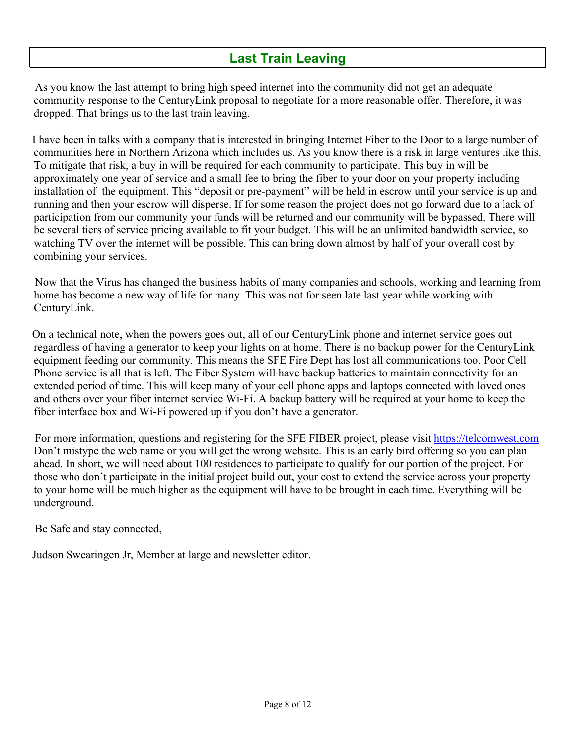# **Last Train Leaving**

 As you know the last attempt to bring high speed internet into the community did not get an adequate community response to the CenturyLink proposal to negotiate for a more reasonable offer. Therefore, it was dropped. That brings us to the last train leaving.

 I have been in talks with a company that is interested in bringing Internet Fiber to the Door to a large number of communities here in Northern Arizona which includes us. As you know there is a risk in large ventures like this. To mitigate that risk, a buy in will be required for each community to participate. This buy in will be approximately one year of service and a small fee to bring the fiber to your door on your property including installation of the equipment. This "deposit or pre-payment" will be held in escrow until your service is up and running and then your escrow will disperse. If for some reason the project does not go forward due to a lack of participation from our community your funds will be returned and our community will be bypassed. There will be several tiers of service pricing available to fit your budget. This will be an unlimited bandwidth service, so watching TV over the internet will be possible. This can bring down almost by half of your overall cost by combining your services.

 Now that the Virus has changed the business habits of many companies and schools, working and learning from home has become a new way of life for many. This was not for seen late last year while working with CenturyLink.

 On a technical note, when the powers goes out, all of our CenturyLink phone and internet service goes out regardless of having a generator to keep your lights on at home. There is no backup power for the CenturyLink equipment feeding our community. This means the SFE Fire Dept has lost all communications too. Poor Cell Phone service is all that is left. The Fiber System will have backup batteries to maintain connectivity for an extended period of time. This will keep many of your cell phone apps and laptops connected with loved ones and others over your fiber internet service Wi-Fi. A backup battery will be required at your home to keep the fiber interface box and Wi-Fi powered up if you don't have a generator.

 For more information, questions and registering for the SFE FIBER project, please visit https://telcomwest.com Don't mistype the web name or you will get the wrong website. This is an early bird offering so you can plan ahead. In short, we will need about 100 residences to participate to qualify for our portion of the project. For those who don't participate in the initial project build out, your cost to extend the service across your property to your home will be much higher as the equipment will have to be brought in each time. Everything will be underground.

Be Safe and stay connected,

Judson Swearingen Jr, Member at large and newsletter editor.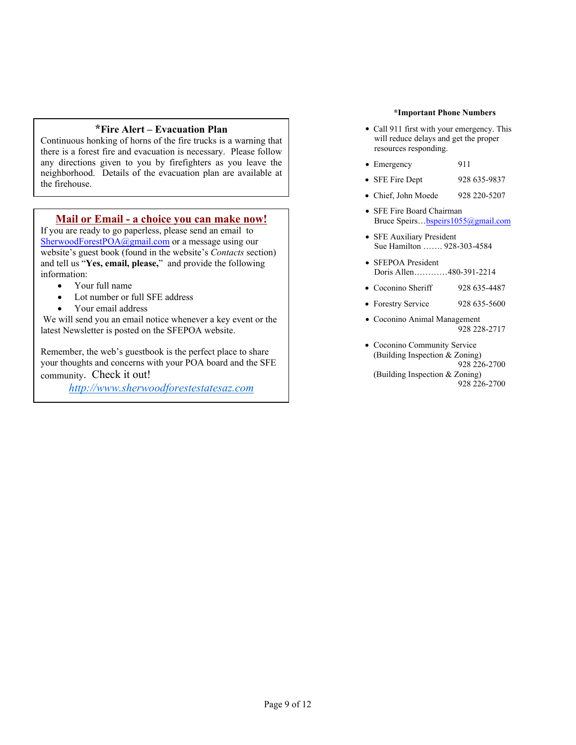#### **\*Fire Alert – Evacuation Plan**

Continuous honking of horns of the fire trucks is a warning that there is a forest fire and evacuation is necessary. Please follow any directions given to you by firefighters as you leave the neighborhood. Details of the evacuation plan are available at the firehouse.

#### **Mail or Email - a choice you can make now!**

If you are ready to go paperless, please send an email to SherwoodForestPOA@gmail.com or a message using our website's guest book (found in the website's *Contacts* section) and tell us "**Yes, email, please,**" and provide the following information:

- Your full name
- Lot number or full SFE address
- Your email address

 We will send you an email notice whenever a key event or the latest Newsletter is posted on the SFEPOA website.

 Remember, the web's guestbook is the perfect place to share your thoughts and concerns with your POA board and the SFE community. Check it out!

*http://www.sherwoodforestestatesaz.com*

#### **\*Important Phone Numbers**

- Call 911 first with your emergency. This will reduce delays and get the proper resources responding.
- Emergency 911
- SFE Fire Dept 928 635-9837
- Chief, John Moede 928 220-5207
- SFE Fire Board Chairman Bruce Speirs…bspeirs1055@gmail.com
- SFE Auxiliary President Sue Hamilton ……. 928-303-4584
- SFEPOA President Doris Allen…………480-391-2214
- Coconino Sheriff 928 635-4487
- Forestry Service 928 635-5600
- Coconino Animal Management 928 228-2717
- Coconino Community Service (Building Inspection & Zoning) 928 226-2700 (Building Inspection & Zoning) 928 226-2700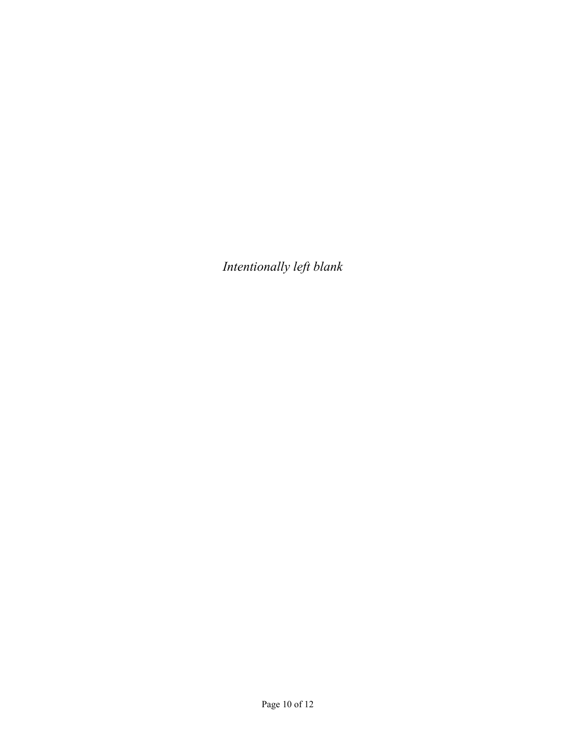*Intentionally left blank*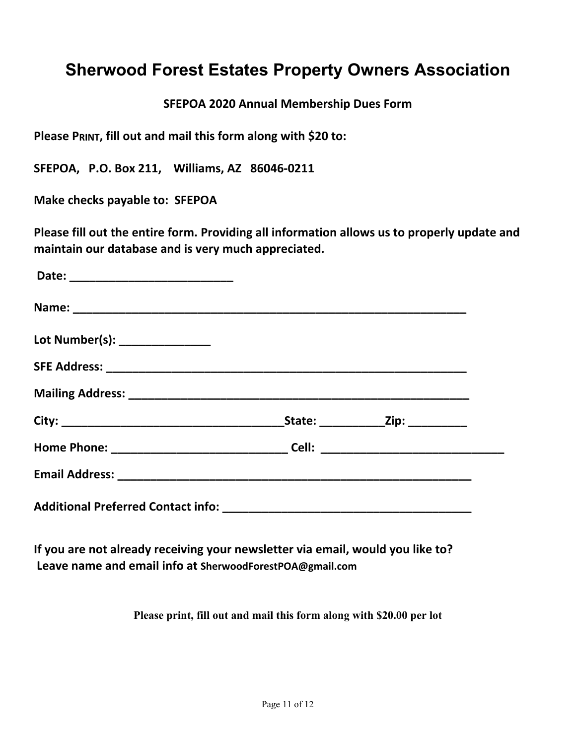# **Sherwood Forest Estates Property Owners Association**

#### **SFEPOA 2020 Annual Membership Dues Form**

**Please PRINT, fill out and mail this form along with \$20 to:**

**SFEPOA, P.O. Box 211, Williams, AZ 86046-0211**

**Make checks payable to: SFEPOA**

**Please fill out the entire form. Providing all information allows us to properly update and maintain our database and is very much appreciated.** 

| Lot Number(s): _______________ |  |  |
|--------------------------------|--|--|
|                                |  |  |
|                                |  |  |
|                                |  |  |
|                                |  |  |
|                                |  |  |
|                                |  |  |

**If you are not already receiving your newsletter via email, would you like to? Leave name and email info at SherwoodForestPOA@gmail.com**

**Please print, fill out and mail this form along with \$20.00 per lot**